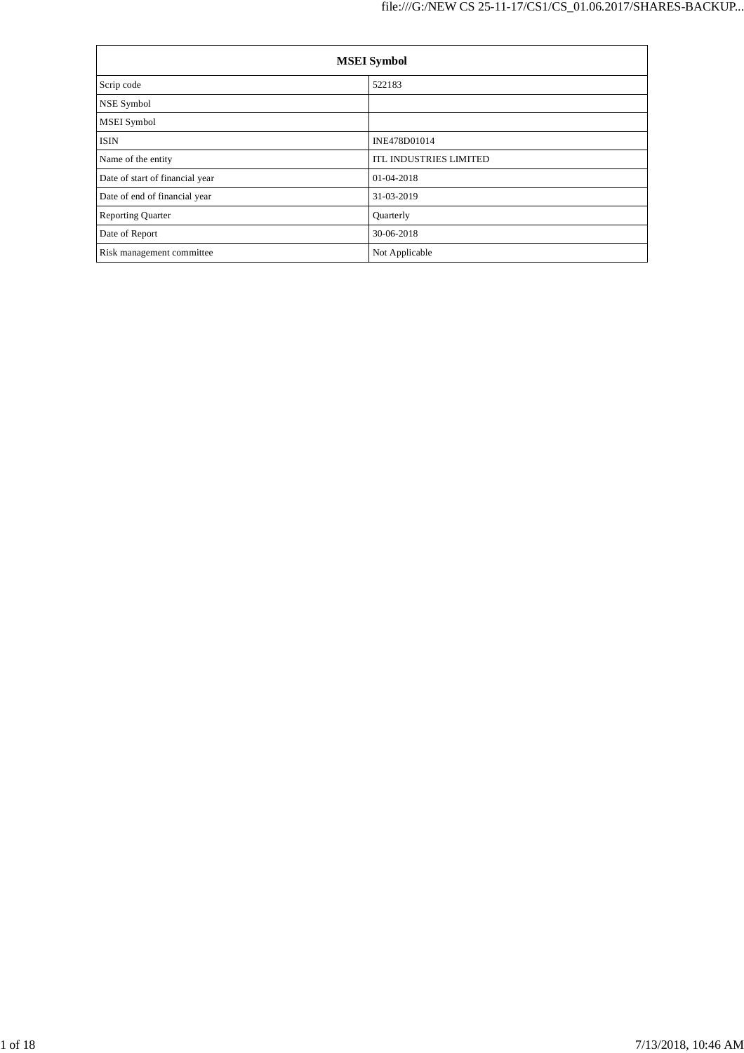| <b>MSEI</b> Symbol              |                               |  |  |  |
|---------------------------------|-------------------------------|--|--|--|
| Scrip code                      | 522183                        |  |  |  |
| NSE Symbol                      |                               |  |  |  |
| MSEI Symbol                     |                               |  |  |  |
| <b>ISIN</b>                     | INE478D01014                  |  |  |  |
| Name of the entity              | <b>ITL INDUSTRIES LIMITED</b> |  |  |  |
| Date of start of financial year | 01-04-2018                    |  |  |  |
| Date of end of financial year   | 31-03-2019                    |  |  |  |
| <b>Reporting Quarter</b>        | Quarterly                     |  |  |  |
| Date of Report                  | 30-06-2018                    |  |  |  |
| Risk management committee       | Not Applicable                |  |  |  |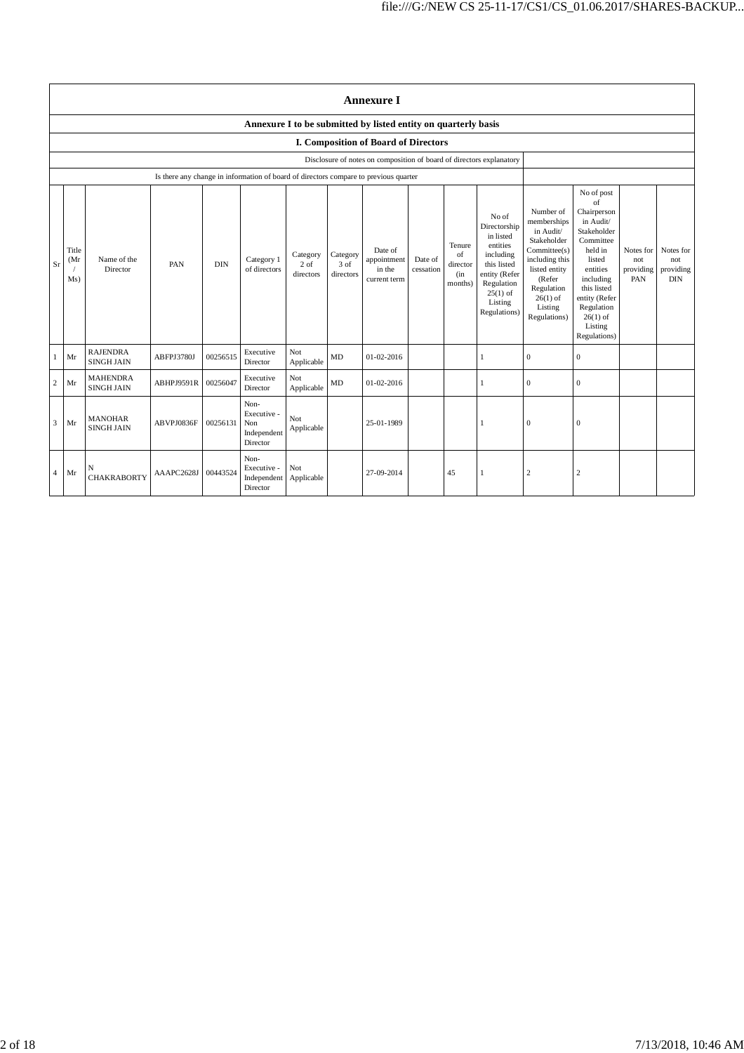|                | <b>Annexure I</b>                                                    |                                      |                                                                                      |            |                                                           |                                 |                               |                                                  |                      |                                            |                                                                                                                                                    |                                                                                                                                                                          |                                                                                                                                                                                                               |                                      |                                             |
|----------------|----------------------------------------------------------------------|--------------------------------------|--------------------------------------------------------------------------------------|------------|-----------------------------------------------------------|---------------------------------|-------------------------------|--------------------------------------------------|----------------------|--------------------------------------------|----------------------------------------------------------------------------------------------------------------------------------------------------|--------------------------------------------------------------------------------------------------------------------------------------------------------------------------|---------------------------------------------------------------------------------------------------------------------------------------------------------------------------------------------------------------|--------------------------------------|---------------------------------------------|
|                | Annexure I to be submitted by listed entity on quarterly basis       |                                      |                                                                                      |            |                                                           |                                 |                               |                                                  |                      |                                            |                                                                                                                                                    |                                                                                                                                                                          |                                                                                                                                                                                                               |                                      |                                             |
|                |                                                                      |                                      |                                                                                      |            |                                                           |                                 |                               | I. Composition of Board of Directors             |                      |                                            |                                                                                                                                                    |                                                                                                                                                                          |                                                                                                                                                                                                               |                                      |                                             |
|                | Disclosure of notes on composition of board of directors explanatory |                                      |                                                                                      |            |                                                           |                                 |                               |                                                  |                      |                                            |                                                                                                                                                    |                                                                                                                                                                          |                                                                                                                                                                                                               |                                      |                                             |
|                |                                                                      |                                      | Is there any change in information of board of directors compare to previous quarter |            |                                                           |                                 |                               |                                                  |                      |                                            |                                                                                                                                                    |                                                                                                                                                                          |                                                                                                                                                                                                               |                                      |                                             |
| Sr             | Title<br>(Mr)<br>Ms)                                                 | Name of the<br>Director              | PAN                                                                                  | <b>DIN</b> | Category 1<br>of directors                                | Category<br>$2$ of<br>directors | Category<br>3 of<br>directors | Date of<br>appointment<br>in the<br>current term | Date of<br>cessation | Tenure<br>of<br>director<br>(in<br>months) | No of<br>Directorship<br>in listed<br>entities<br>including<br>this listed<br>entity (Refer<br>Regulation<br>$25(1)$ of<br>Listing<br>Regulations) | Number of<br>memberships<br>in Audit/<br>Stakeholder<br>Committee(s)<br>including this<br>listed entity<br>(Refer<br>Regulation<br>$26(1)$ of<br>Listing<br>Regulations) | No of post<br>of<br>Chairperson<br>in Audit/<br>Stakeholder<br>Committee<br>held in<br>listed<br>entities<br>including<br>this listed<br>entity (Refer<br>Regulation<br>$26(1)$ of<br>Listing<br>Regulations) | Notes for<br>not<br>providing<br>PAN | Notes for<br>not<br>providing<br><b>DIN</b> |
| 1              | Mr                                                                   | <b>RAJENDRA</b><br><b>SINGH JAIN</b> | ABFPJ3780J                                                                           | 00256515   | Executive<br>Director                                     | Not<br>Applicable               | MD                            | 01-02-2016                                       |                      |                                            | $\mathbf{1}$                                                                                                                                       | $\overline{0}$                                                                                                                                                           | $\overline{0}$                                                                                                                                                                                                |                                      |                                             |
| 2              | Mr                                                                   | <b>MAHENDRA</b><br><b>SINGH JAIN</b> | ABHPJ9591R                                                                           | 00256047   | Executive<br>Director                                     | Not<br>Applicable               | MD                            | 01-02-2016                                       |                      |                                            | 1                                                                                                                                                  | $\mathbf{0}$                                                                                                                                                             | $\mathbf{0}$                                                                                                                                                                                                  |                                      |                                             |
| 3              | Mr                                                                   | <b>MANOHAR</b><br><b>SINGH JAIN</b>  | ABVPJ0836F                                                                           | 00256131   | Non-<br>Executive -<br>Non<br>Independent<br>Director     | Not<br>Applicable               |                               | 25-01-1989                                       |                      |                                            |                                                                                                                                                    | $\boldsymbol{0}$                                                                                                                                                         | $\mathbf{0}$                                                                                                                                                                                                  |                                      |                                             |
| $\overline{4}$ | Mr                                                                   | N<br><b>CHAKRABORTY</b>              | AAAPC2628J                                                                           | 00443524   | Non-<br>Executive -<br>Independent Applicable<br>Director | Not                             |                               | 27-09-2014                                       |                      | 45                                         | $\mathbf{1}$                                                                                                                                       | $\boldsymbol{2}$                                                                                                                                                         | $\overline{c}$                                                                                                                                                                                                |                                      |                                             |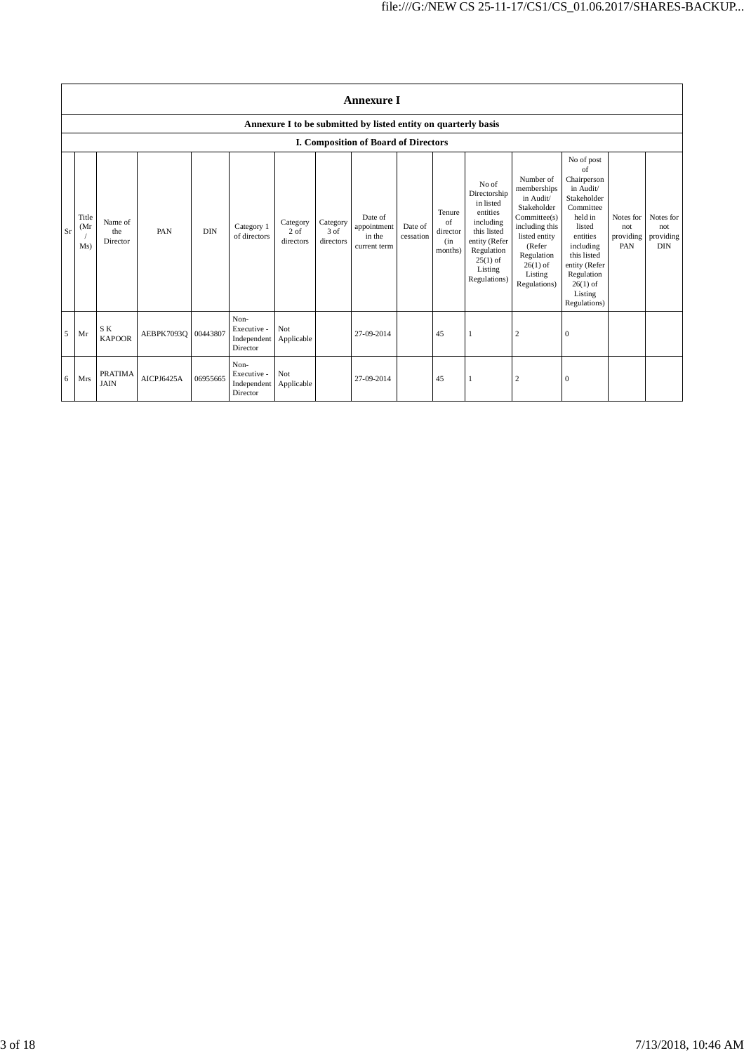|           | <b>Annexure I</b>    |                               |                     |            |                                                           |                               |                               |                                                                |                      |                                            |                                                                                                                                                    |                                                                                                                                                                          |                                                                                                                                                                                                               |                                      |                                      |
|-----------|----------------------|-------------------------------|---------------------|------------|-----------------------------------------------------------|-------------------------------|-------------------------------|----------------------------------------------------------------|----------------------|--------------------------------------------|----------------------------------------------------------------------------------------------------------------------------------------------------|--------------------------------------------------------------------------------------------------------------------------------------------------------------------------|---------------------------------------------------------------------------------------------------------------------------------------------------------------------------------------------------------------|--------------------------------------|--------------------------------------|
|           |                      |                               |                     |            |                                                           |                               |                               | Annexure I to be submitted by listed entity on quarterly basis |                      |                                            |                                                                                                                                                    |                                                                                                                                                                          |                                                                                                                                                                                                               |                                      |                                      |
|           |                      |                               |                     |            |                                                           |                               |                               | I. Composition of Board of Directors                           |                      |                                            |                                                                                                                                                    |                                                                                                                                                                          |                                                                                                                                                                                                               |                                      |                                      |
| <b>Sr</b> | Title<br>(Mr)<br>Ms) | Name of<br>the<br>Director    | PAN                 | <b>DIN</b> | Category 1<br>of directors                                | Category<br>2 of<br>directors | Category<br>3 of<br>directors | Date of<br>appointment<br>in the<br>current term               | Date of<br>cessation | Tenure<br>of<br>director<br>(in<br>months) | No of<br>Directorship<br>in listed<br>entities<br>including<br>this listed<br>entity (Refer<br>Regulation<br>$25(1)$ of<br>Listing<br>Regulations) | Number of<br>memberships<br>in Audit/<br>Stakeholder<br>Committee(s)<br>including this<br>listed entity<br>(Refer<br>Regulation<br>$26(1)$ of<br>Listing<br>Regulations) | No of post<br>of<br>Chairperson<br>in Audit/<br>Stakeholder<br>Committee<br>held in<br>listed<br>entities<br>including<br>this listed<br>entity (Refer<br>Regulation<br>$26(1)$ of<br>Listing<br>Regulations) | Notes for<br>not<br>providing<br>PAN | Notes for<br>not<br>providing<br>DIN |
| 5         | Mr                   | S K<br><b>KAPOOR</b>          | AEBPK7093Q 00443807 |            | Non-<br>Executive -<br>Independent<br>Director            | Not<br>Applicable             |                               | 27-09-2014                                                     |                      | 45                                         | 1                                                                                                                                                  | $\overline{2}$                                                                                                                                                           | $\mathbf{0}$                                                                                                                                                                                                  |                                      |                                      |
| 6         | Mrs                  | <b>PRATIMA</b><br><b>JAIN</b> | AICPJ6425A          | 06955665   | Non-<br>Executive -<br>Independent Applicable<br>Director | Not                           |                               | 27-09-2014                                                     |                      | 45                                         | 1                                                                                                                                                  | $\overline{2}$                                                                                                                                                           | $\mathbf{0}$                                                                                                                                                                                                  |                                      |                                      |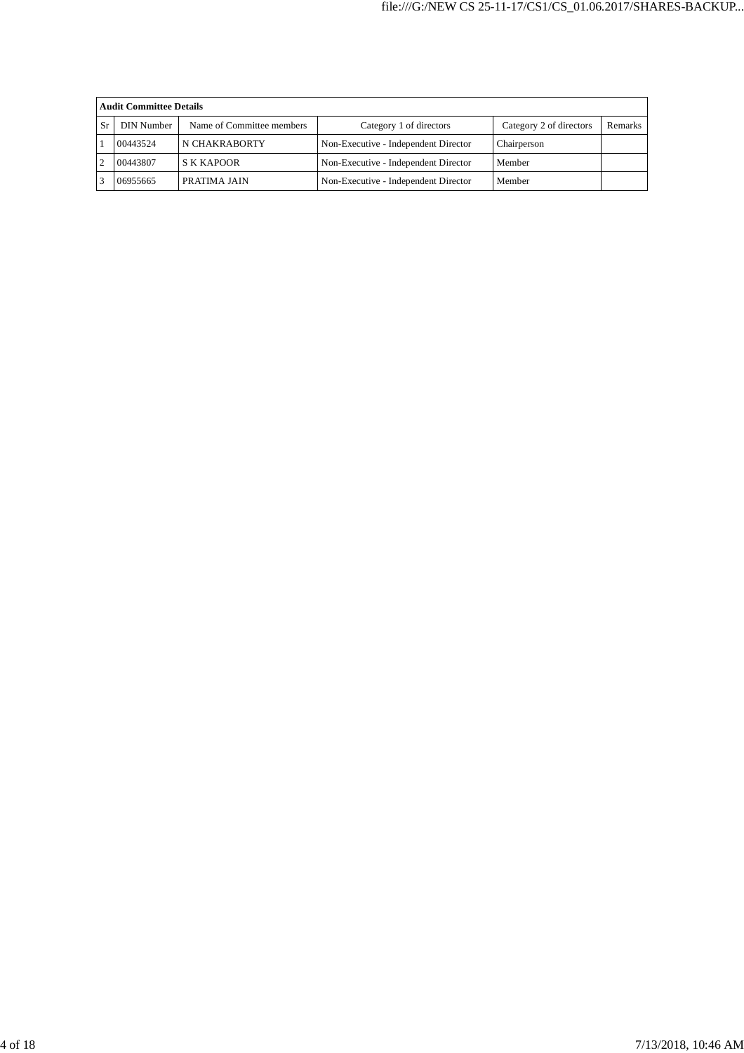|    | <b>Audit Committee Details</b> |                           |                                      |                         |         |  |  |  |
|----|--------------------------------|---------------------------|--------------------------------------|-------------------------|---------|--|--|--|
| Sr | <b>DIN Number</b>              | Name of Committee members | Category 1 of directors              | Category 2 of directors | Remarks |  |  |  |
|    | 00443524                       | N CHAKRABORTY             | Non-Executive - Independent Director | Chairperson             |         |  |  |  |
|    | 00443807                       | <b>S K KAPOOR</b>         | Non-Executive - Independent Director | Member                  |         |  |  |  |
|    | 06955665                       | <b>PRATIMA JAIN</b>       | Non-Executive - Independent Director | Member                  |         |  |  |  |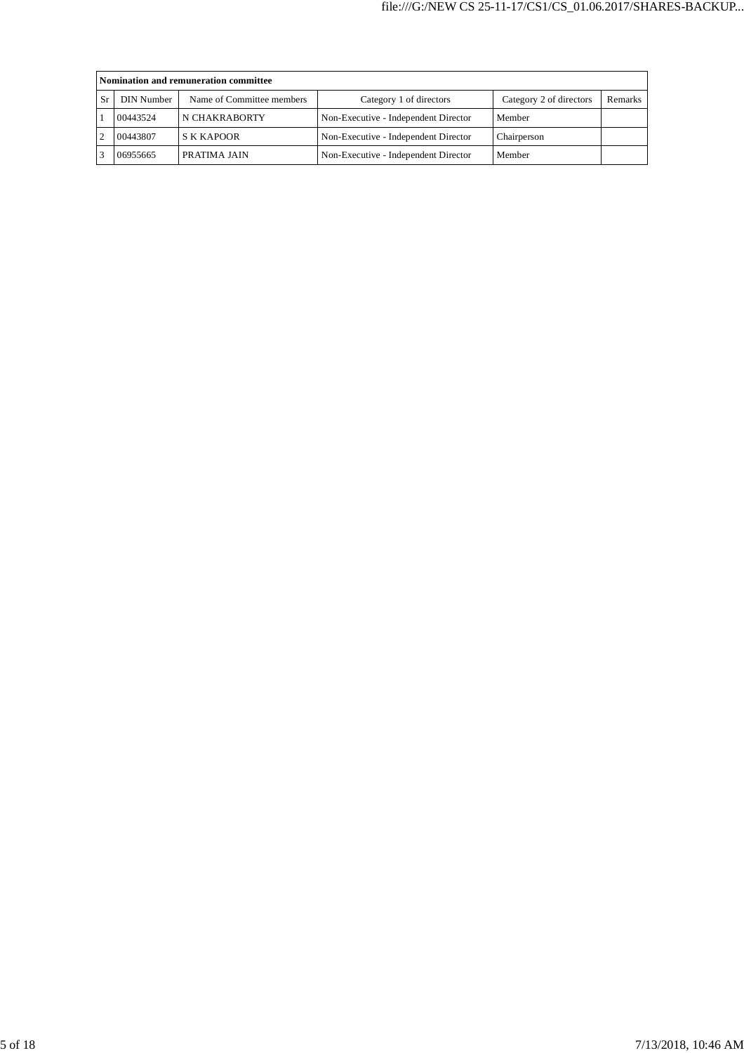|    | Nomination and remuneration committee |                           |                                      |                         |         |  |  |  |
|----|---------------------------------------|---------------------------|--------------------------------------|-------------------------|---------|--|--|--|
| Sr | DIN Number                            | Name of Committee members | Category 1 of directors              | Category 2 of directors | Remarks |  |  |  |
|    | 00443524                              | N CHAKRABORTY             | Non-Executive - Independent Director | Member                  |         |  |  |  |
|    | 00443807                              | <b>S K KAPOOR</b>         | Non-Executive - Independent Director | Chairperson             |         |  |  |  |
|    | 06955665                              | PRATIMA JAIN              | Non-Executive - Independent Director | Member                  |         |  |  |  |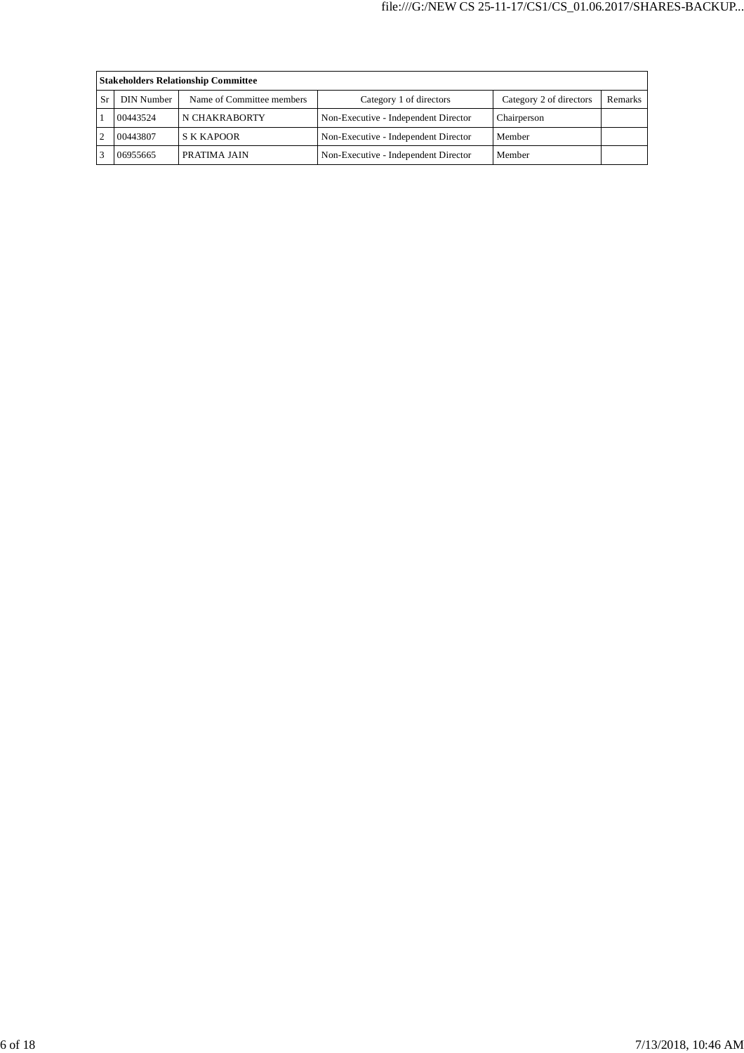|     | <b>Stakeholders Relationship Committee</b> |                           |                                      |                         |         |  |  |  |
|-----|--------------------------------------------|---------------------------|--------------------------------------|-------------------------|---------|--|--|--|
| -Sr | DIN Number                                 | Name of Committee members | Category 1 of directors              | Category 2 of directors | Remarks |  |  |  |
|     | 00443524                                   | N CHAKRABORTY             | Non-Executive - Independent Director | Chairperson             |         |  |  |  |
|     | 00443807                                   | <b>S K KAPOOR</b>         | Non-Executive - Independent Director | Member                  |         |  |  |  |
|     | 06955665                                   | PRATIMA JAIN              | Non-Executive - Independent Director | Member                  |         |  |  |  |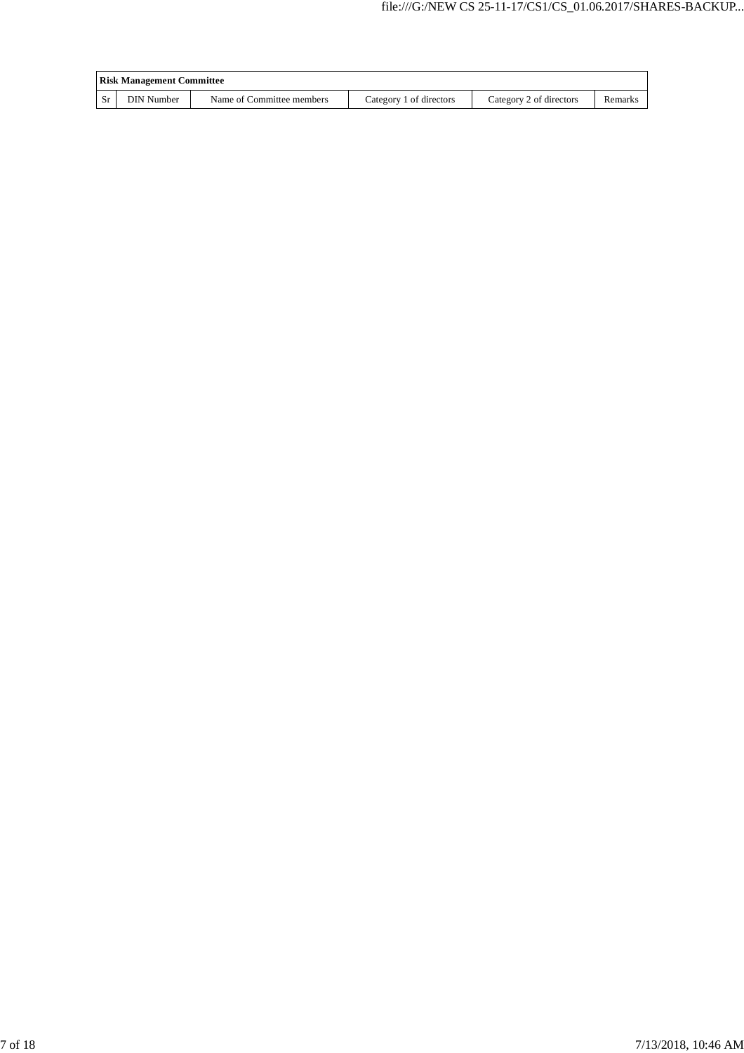| <b>Risk Management Committee</b> |                           |                         |                         |         |  |
|----------------------------------|---------------------------|-------------------------|-------------------------|---------|--|
| DIN Number                       | Name of Committee members | Category 1 of directors | Category 2 of directors | Remarks |  |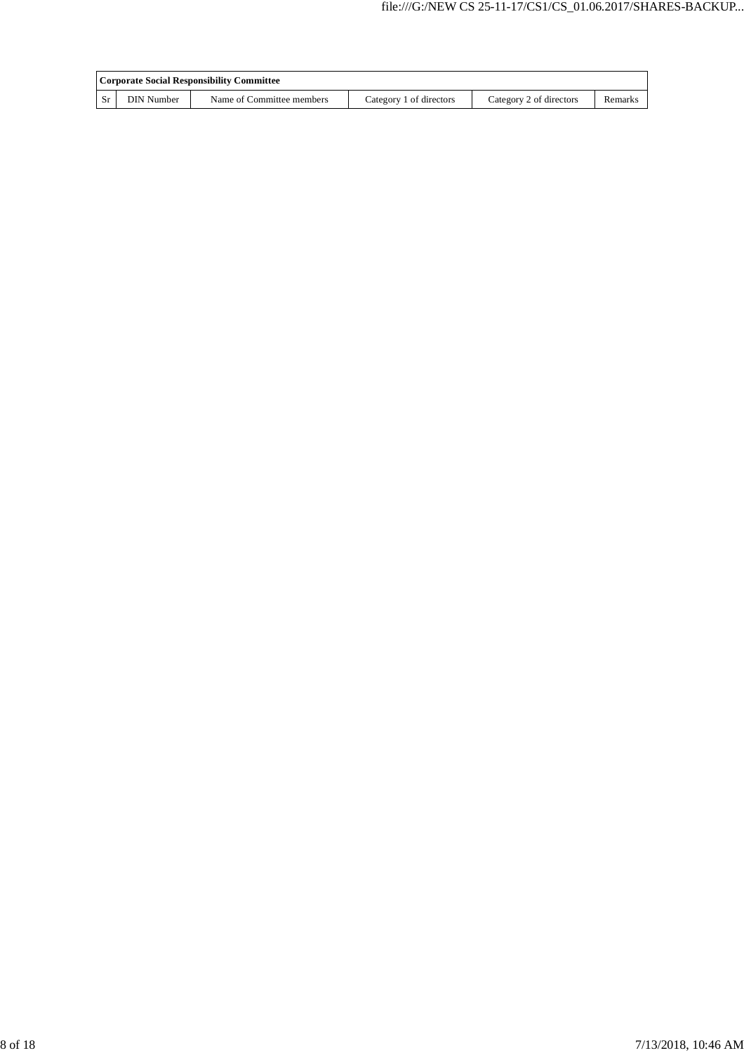|           | Corporate Social Responsibility Committee |                           |                         |                         |         |  |  |
|-----------|-------------------------------------------|---------------------------|-------------------------|-------------------------|---------|--|--|
| <b>Sr</b> | <b>DIN Number</b>                         | Name of Committee members | Category 1 of directors | Category 2 of directors | Remarks |  |  |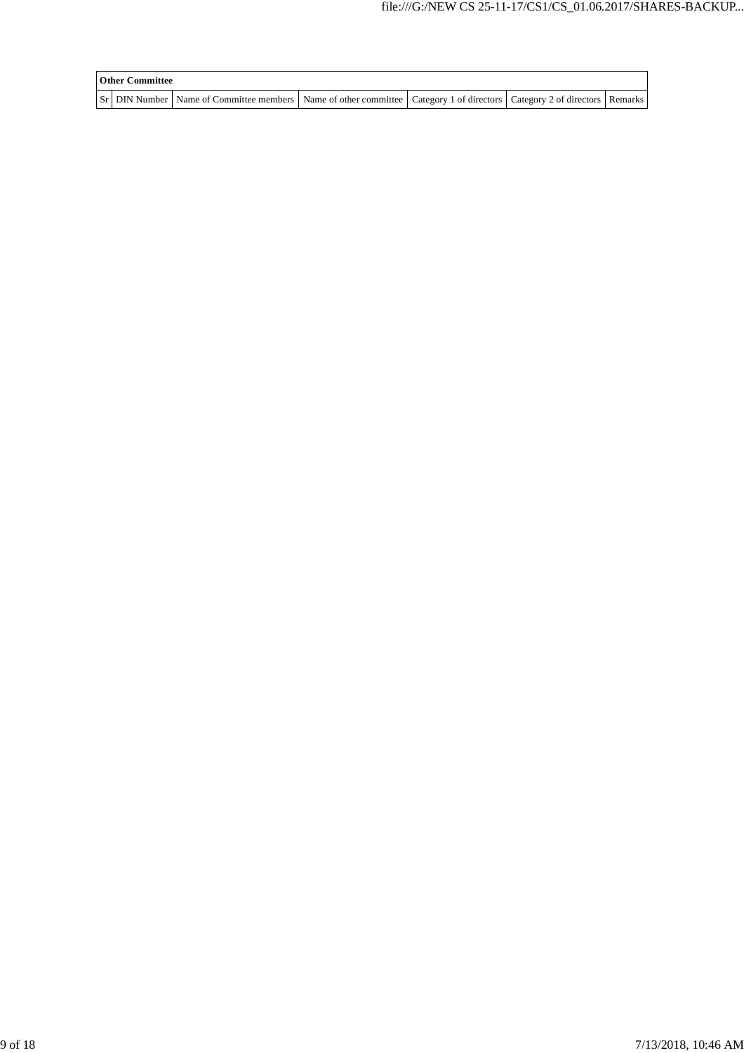| <b>Other Committee</b> |                                                                                                                                     |  |  |
|------------------------|-------------------------------------------------------------------------------------------------------------------------------------|--|--|
|                        | Sr   DIN Number   Name of Committee members   Name of other committee   Category 1 of directors   Category 2 of directors   Remarks |  |  |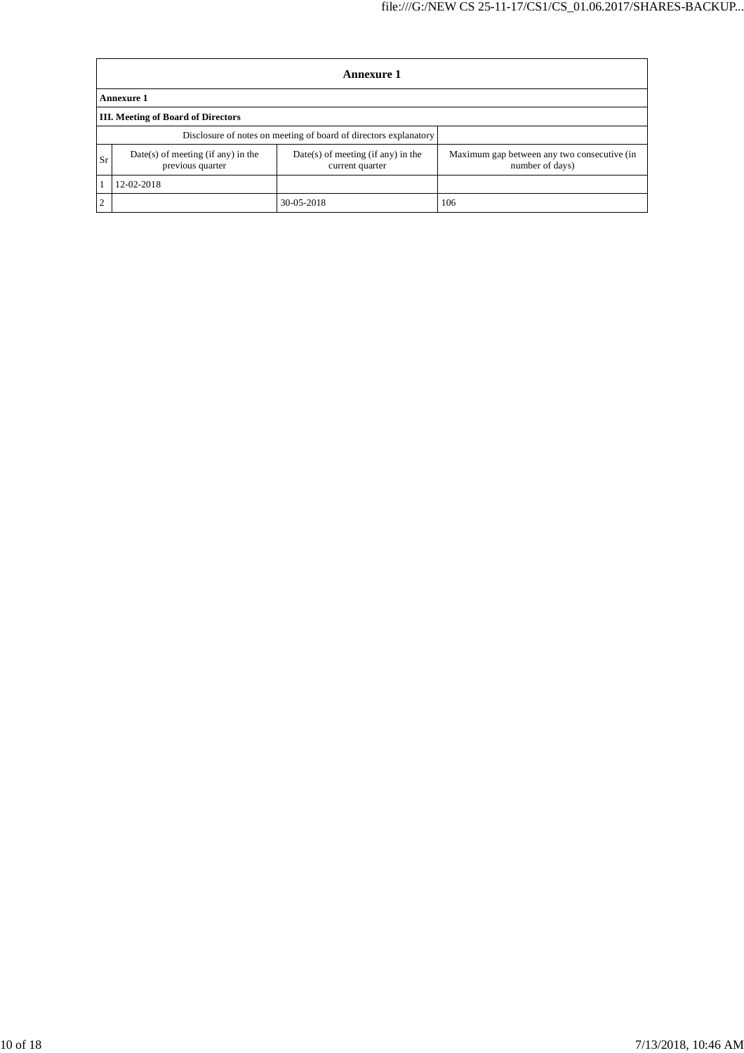|    | Annexure 1                                                       |                                                         |                                                                |  |  |  |  |
|----|------------------------------------------------------------------|---------------------------------------------------------|----------------------------------------------------------------|--|--|--|--|
|    | Annexure 1                                                       |                                                         |                                                                |  |  |  |  |
|    | <b>III.</b> Meeting of Board of Directors                        |                                                         |                                                                |  |  |  |  |
|    | Disclosure of notes on meeting of board of directors explanatory |                                                         |                                                                |  |  |  |  |
| Sr | $Date(s)$ of meeting (if any) in the<br>previous quarter         | $Date(s)$ of meeting (if any) in the<br>current quarter | Maximum gap between any two consecutive (in<br>number of days) |  |  |  |  |
|    | 12-02-2018                                                       |                                                         |                                                                |  |  |  |  |
| ◠  |                                                                  | 30-05-2018                                              | 106                                                            |  |  |  |  |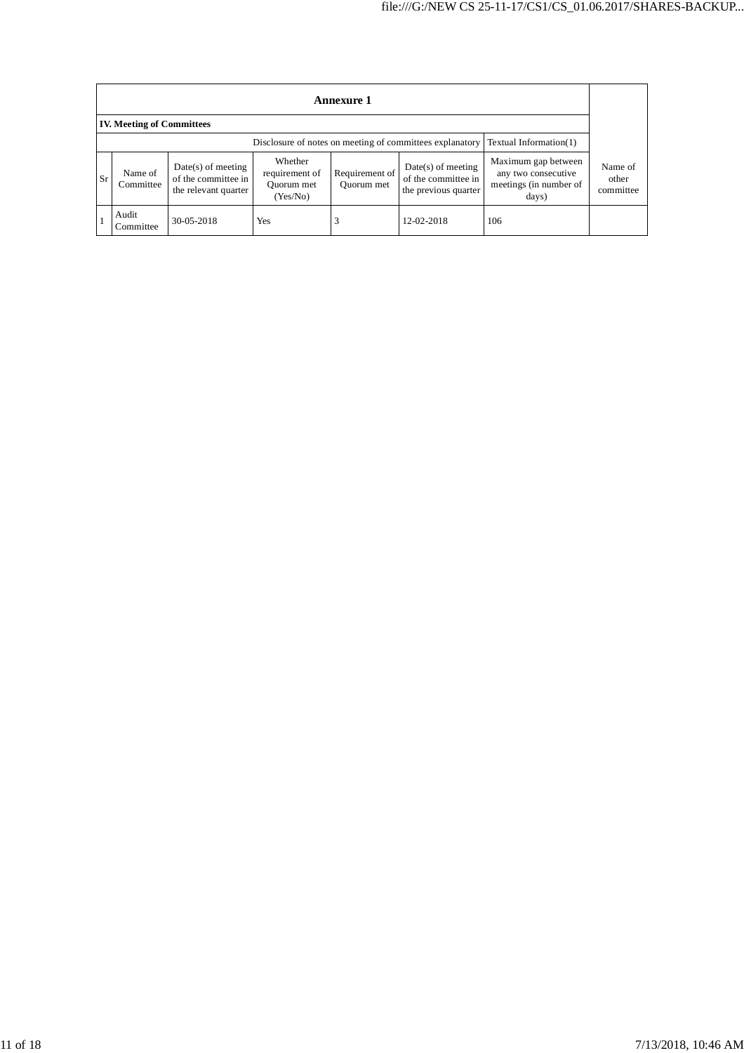|                                                                                    | Annexure 1                       |                                                                     |                                                     |                              |                                                                     |                                                                               |                               |
|------------------------------------------------------------------------------------|----------------------------------|---------------------------------------------------------------------|-----------------------------------------------------|------------------------------|---------------------------------------------------------------------|-------------------------------------------------------------------------------|-------------------------------|
|                                                                                    | <b>IV. Meeting of Committees</b> |                                                                     |                                                     |                              |                                                                     |                                                                               |                               |
| Disclosure of notes on meeting of committees explanatory<br>Textual Information(1) |                                  |                                                                     |                                                     |                              |                                                                     |                                                                               |                               |
| <b>Sr</b>                                                                          | Name of<br>Committee             | $Date(s)$ of meeting<br>of the committee in<br>the relevant quarter | Whether<br>requirement of<br>Ouorum met<br>(Yes/No) | Requirement of<br>Quorum met | $Date(s)$ of meeting<br>of the committee in<br>the previous quarter | Maximum gap between<br>any two consecutive<br>meetings (in number of<br>days) | Name of<br>other<br>committee |
|                                                                                    | Audit<br>Committee               | 30-05-2018                                                          | Yes                                                 | 3                            | 12-02-2018                                                          | 106                                                                           |                               |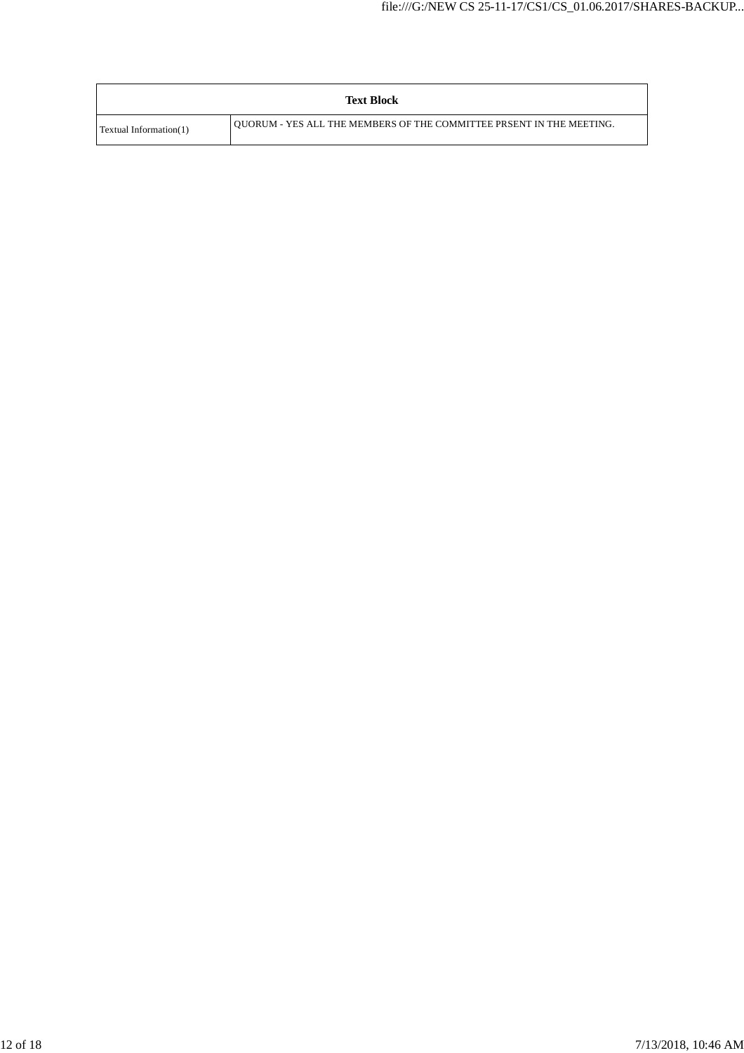|                               | <b>Text Block</b>                                                    |
|-------------------------------|----------------------------------------------------------------------|
| <b>Textual Information(1)</b> | OUORUM - YES ALL THE MEMBERS OF THE COMMITTEE PRSENT IN THE MEETING. |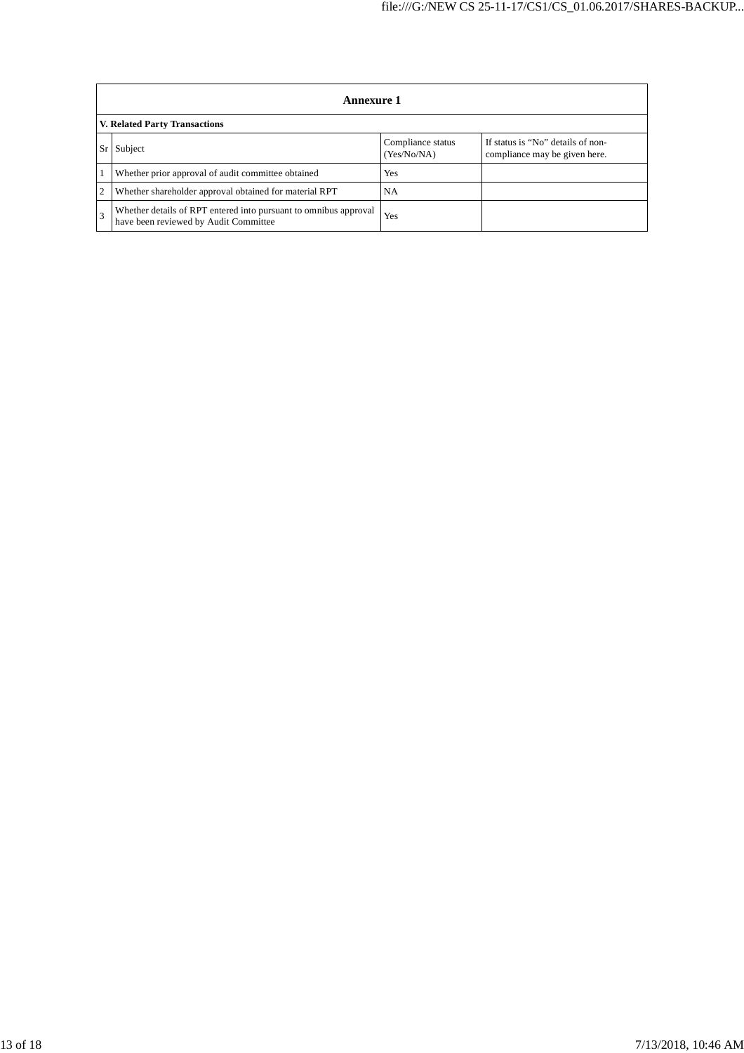|                                      | Annexure 1                                                                                                |                                  |                                                                    |  |  |  |
|--------------------------------------|-----------------------------------------------------------------------------------------------------------|----------------------------------|--------------------------------------------------------------------|--|--|--|
| <b>V. Related Party Transactions</b> |                                                                                                           |                                  |                                                                    |  |  |  |
| Sr                                   | Subject                                                                                                   | Compliance status<br>(Yes/No/NA) | If status is "No" details of non-<br>compliance may be given here. |  |  |  |
|                                      | Whether prior approval of audit committee obtained                                                        | Yes                              |                                                                    |  |  |  |
|                                      | Whether shareholder approval obtained for material RPT                                                    | <b>NA</b>                        |                                                                    |  |  |  |
|                                      | Whether details of RPT entered into pursuant to omnibus approval<br>have been reviewed by Audit Committee | Yes                              |                                                                    |  |  |  |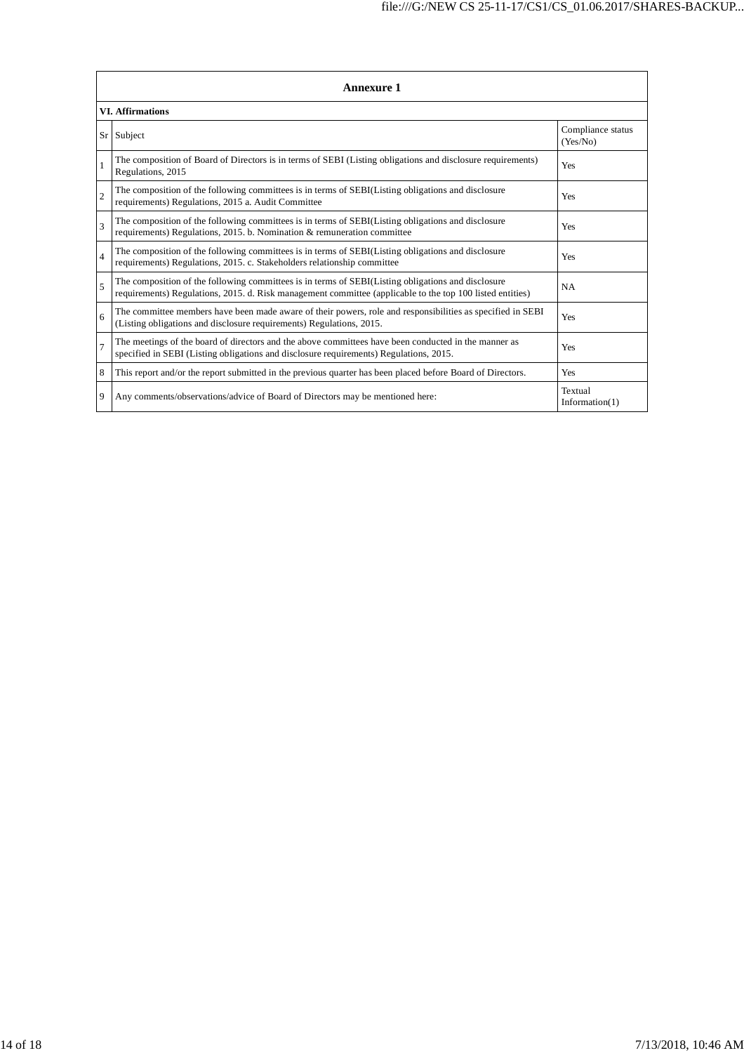| <b>Annexure 1</b>       |                                                                                                                                                                                                                 |                               |  |  |
|-------------------------|-----------------------------------------------------------------------------------------------------------------------------------------------------------------------------------------------------------------|-------------------------------|--|--|
| <b>VI. Affirmations</b> |                                                                                                                                                                                                                 |                               |  |  |
| Sr <sub>1</sub>         | Subject                                                                                                                                                                                                         | Compliance status<br>(Yes/No) |  |  |
| 1                       | The composition of Board of Directors is in terms of SEBI (Listing obligations and disclosure requirements)<br>Regulations, 2015                                                                                | Yes                           |  |  |
| $\overline{2}$          | The composition of the following committees is in terms of SEBI(Listing obligations and disclosure<br>requirements) Regulations, 2015 a. Audit Committee                                                        | Yes                           |  |  |
| 3                       | The composition of the following committees is in terms of SEBI(Listing obligations and disclosure<br>requirements) Regulations, 2015. b. Nomination & remuneration committee                                   | Yes                           |  |  |
| $\overline{4}$          | The composition of the following committees is in terms of SEBI(Listing obligations and disclosure<br>requirements) Regulations, 2015. c. Stakeholders relationship committee                                   | Yes                           |  |  |
| 5                       | The composition of the following committees is in terms of SEBI(Listing obligations and disclosure<br>requirements) Regulations, 2015. d. Risk management committee (applicable to the top 100 listed entities) | <b>NA</b>                     |  |  |
| 6                       | The committee members have been made aware of their powers, role and responsibilities as specified in SEBI<br>(Listing obligations and disclosure requirements) Regulations, 2015.                              | Yes                           |  |  |
| $\overline{7}$          | The meetings of the board of directors and the above committees have been conducted in the manner as<br>specified in SEBI (Listing obligations and disclosure requirements) Regulations, 2015.                  | Yes                           |  |  |
| 8                       | This report and/or the report submitted in the previous quarter has been placed before Board of Directors.                                                                                                      | Yes                           |  |  |
| 9                       | Any comments/observations/advice of Board of Directors may be mentioned here:                                                                                                                                   | Textual<br>Information(1)     |  |  |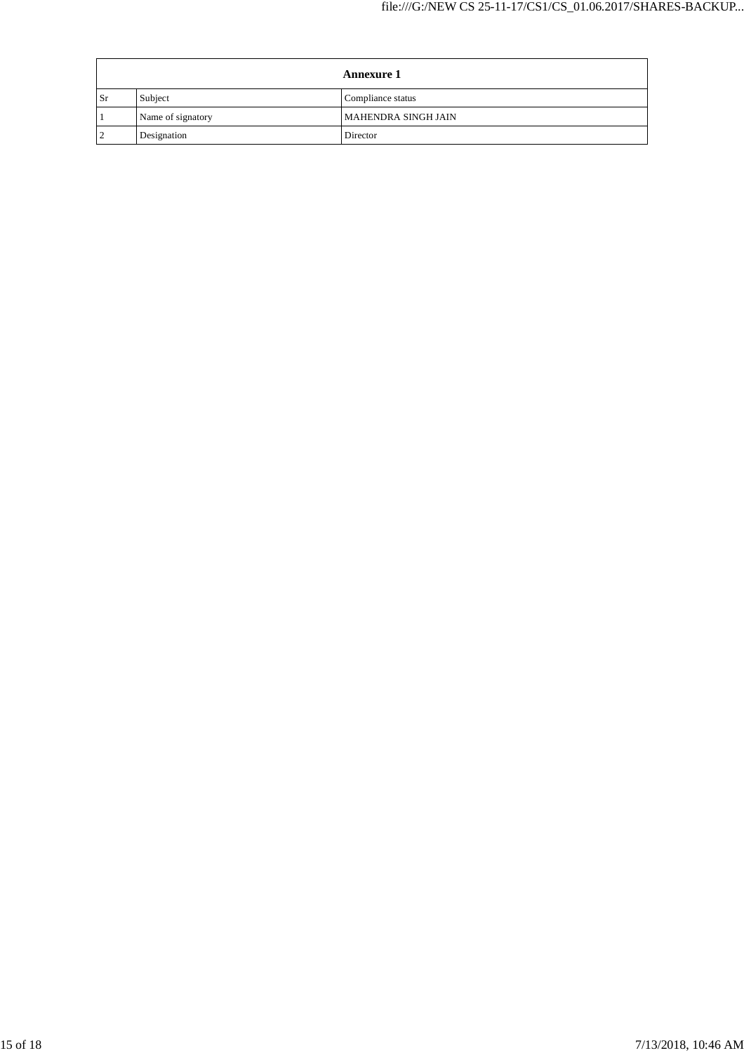|           | <b>Annexure 1</b> |                     |
|-----------|-------------------|---------------------|
| <b>Sr</b> | Subject           | Compliance status   |
|           | Name of signatory | MAHENDRA SINGH JAIN |
|           | Designation       | Director            |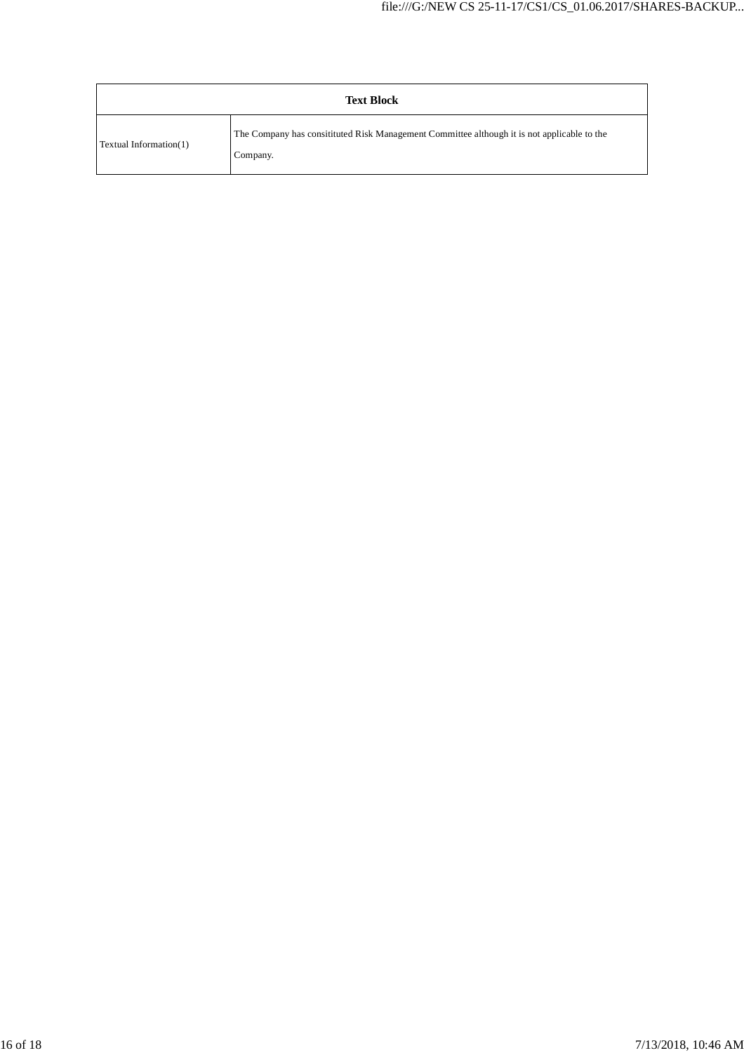| <b>Text Block</b>      |                                                                                                         |  |
|------------------------|---------------------------------------------------------------------------------------------------------|--|
| Textual Information(1) | The Company has consitituted Risk Management Committee although it is not applicable to the<br>Company. |  |